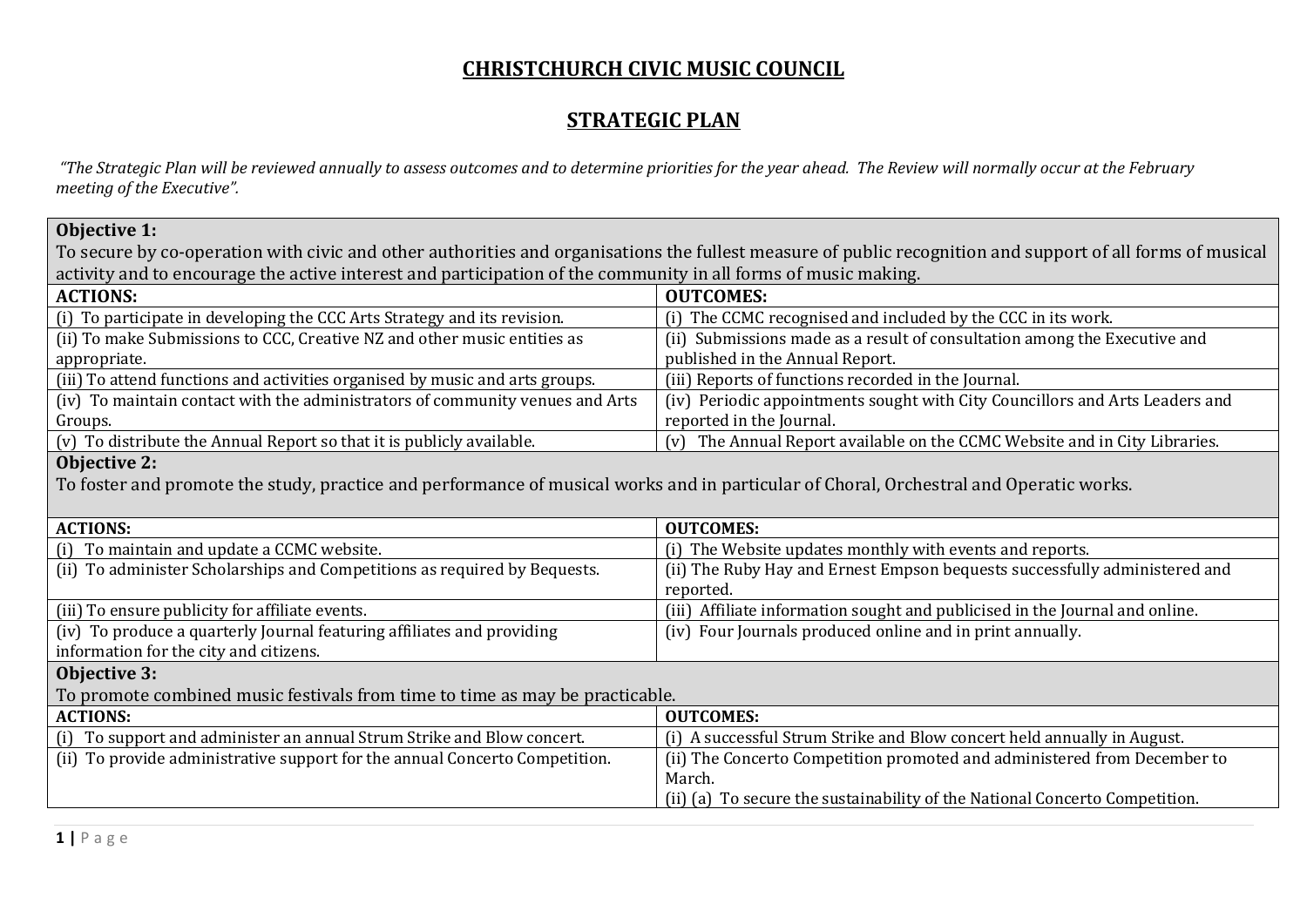## **CHRISTCHURCH CIVIC MUSIC COUNCIL**

## **STRATEGIC PLAN**

*"The Strategic Plan will be reviewed annually to assess outcomes and to determine priorities for the year ahead. The Review will normally occur at the February meeting of the Executive".*

To secure by co-operation with civic and other authorities and organisations the fullest measure of public recognition and support of all forms of musical activity and to encourage the active interest and participation of the community in all forms of music making.

| <b>ACTIONS:</b>                                                               | <b>OUTCOMES:</b>                                                             |
|-------------------------------------------------------------------------------|------------------------------------------------------------------------------|
| (i) To participate in developing the CCC Arts Strategy and its revision.      | (i) The CCMC recognised and included by the CCC in its work.                 |
| (ii) To make Submissions to CCC, Creative NZ and other music entities as      | (ii) Submissions made as a result of consultation among the Executive and    |
| appropriate.                                                                  | published in the Annual Report.                                              |
| (iii) To attend functions and activities organised by music and arts groups.  | (iii) Reports of functions recorded in the Journal.                          |
| (iv) To maintain contact with the administrators of community venues and Arts | (iv) Periodic appointments sought with City Councillors and Arts Leaders and |
| Groups.                                                                       | reported in the Journal.                                                     |
| (v) To distribute the Annual Report so that it is publicly available.         | (v) The Annual Report available on the CCMC Website and in City Libraries.   |
|                                                                               |                                                                              |

## **Objective 2:**

To foster and promote the study, practice and performance of musical works and in particular of Choral, Orchestral and Operatic works.

| <b>ACTIONS:</b>                                                              | <b>OUTCOMES:</b>                                                             |  |
|------------------------------------------------------------------------------|------------------------------------------------------------------------------|--|
| (i) To maintain and update a CCMC website.                                   | (i) The Website updates monthly with events and reports.                     |  |
| (ii) To administer Scholarships and Competitions as required by Bequests.    | (ii) The Ruby Hay and Ernest Empson bequests successfully administered and   |  |
|                                                                              | reported.                                                                    |  |
| (iii) To ensure publicity for affiliate events.                              | (iii) Affiliate information sought and publicised in the Journal and online. |  |
| (iv) To produce a quarterly Journal featuring affiliates and providing       | (iv) Four Journals produced online and in print annually.                    |  |
| information for the city and citizens.                                       |                                                                              |  |
| <b>Objective 3:</b>                                                          |                                                                              |  |
| To promote combined music festivals from time to time as may be practicable. |                                                                              |  |
| <b>ACTIONS:</b>                                                              | <b>OUTCOMES:</b>                                                             |  |
| (i) To support and administer an annual Strum Strike and Blow concert.       | (i) A successful Strum Strike and Blow concert held annually in August.      |  |
| (ii) To provide administrative support for the annual Concerto Competition.  | (ii) The Concerto Competition promoted and administered from December to     |  |
|                                                                              | March.                                                                       |  |
|                                                                              | (ii) (a) To secure the sustainability of the National Concerto Competition.  |  |